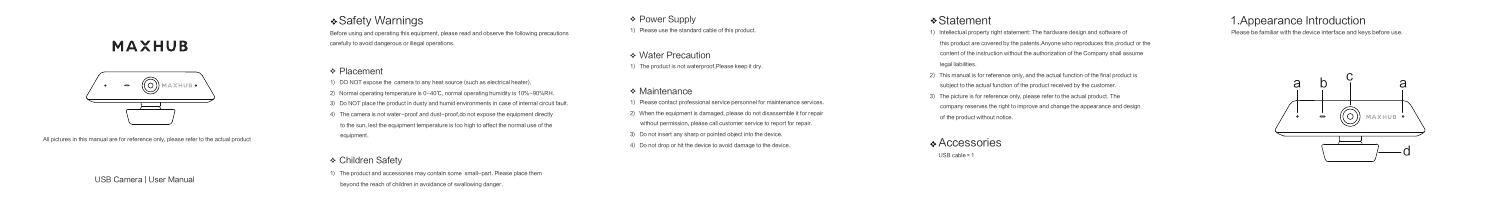# **MAXHUB**



All pictures in this manual are for reference only, please refer to the actual product

## Safety Warnings

Before using and operating this equipment, please read and observe the following precautions carefully to avoid dangerous or illegal operations.

#### **Exement** ← Placement

The product and accessories may contain some small-part. Please place them beyond the reach of children in avoidance of swallowing danger.

**↑ Power Supply** 

1) DO NOT expose the camera to any heat source (such as electrical heater). 2) Normal operating temperature is 0-40℃, normal operating humidity is 10%-90%RH. 3) Do NOT place the product in dusty and humid environments in case of internal circuit fault. 4) The camera is not water-proof and dust-proof,do not expose the equipment directly to the sun, lest the equipment temperature is too high to affect the normal use of the equipment.

◆ Water Precaution 1) The product is not waterproof,Please keep it dry.

#### **↑** Maintenance

#### Children Safety

1) Please use the standard cable of this product.

1) Please contact professional service personnel for maintenance services. 2) When the equipment is damaged, please do not disassemble it for repair without permission, please call customer service to report for repair. 3) Do not insert any sharp or pointed object into the device. 4) Do not drop or hit the device to avoid damage to the device.

### Statement

1) Intellectual property right statement: The hardware design and software of this product are covered by the patents.Anyone who reproduces this product or the content of the instruction without the authorization of the Company shall assume legal liabilities.

- 2) This manual is for reference only, and the actual function of the final product is
- subject to the actual function of the product received by the customer.
- 3) The picture is for reference only, please refer to the actual product. The
- company reserves the right to improve and change the appearance and design of the product without notice.

### Accessories

USB cable×1

USB Camera | User Manual

### 1.Appearance Introduction

Please be familiar with the device interface and keys before use.